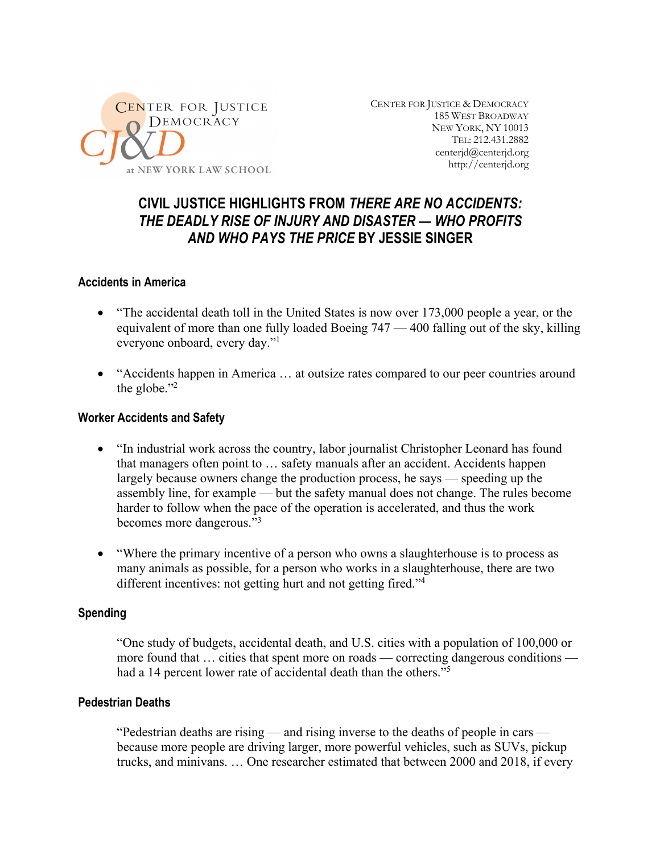

CENTER FOR JUSTICE & DEMOCRACY 185 WEST BROADWAY NEW YORK, NY 10013 TEL: 212.431.2882 centerjd@centerjd.org http://centerjd.org

# **CIVIL JUSTICE HIGHLIGHTS FROM** *THERE ARE NO ACCIDENTS: THE DEADLY RISE OF INJURY AND DISASTER — WHO PROFITS AND WHO PAYS THE PRICE* **BY JESSIE SINGER**

### **Accidents in America**

- "The accidental death toll in the United States is now over 173,000 people a year, or the equivalent of more than one fully loaded Boeing 747 — 400 falling out of the sky, killing everyone onboard, every day."1
- "Accidents happen in America ... at outsize rates compared to our peer countries around the globe."2

### **Worker Accidents and Safety**

- "In industrial work across the country, labor journalist Christopher Leonard has found that managers often point to … safety manuals after an accident. Accidents happen largely because owners change the production process, he says — speeding up the assembly line, for example — but the safety manual does not change. The rules become harder to follow when the pace of the operation is accelerated, and thus the work becomes more dangerous."3
- "Where the primary incentive of a person who owns a slaughterhouse is to process as many animals as possible, for a person who works in a slaughterhouse, there are two different incentives: not getting hurt and not getting fired."4

#### **Spending**

"One study of budgets, accidental death, and U.S. cities with a population of 100,000 or more found that … cities that spent more on roads — correcting dangerous conditions had a 14 percent lower rate of accidental death than the others."5

#### **Pedestrian Deaths**

"Pedestrian deaths are rising — and rising inverse to the deaths of people in cars because more people are driving larger, more powerful vehicles, such as SUVs, pickup trucks, and minivans. … One researcher estimated that between 2000 and 2018, if every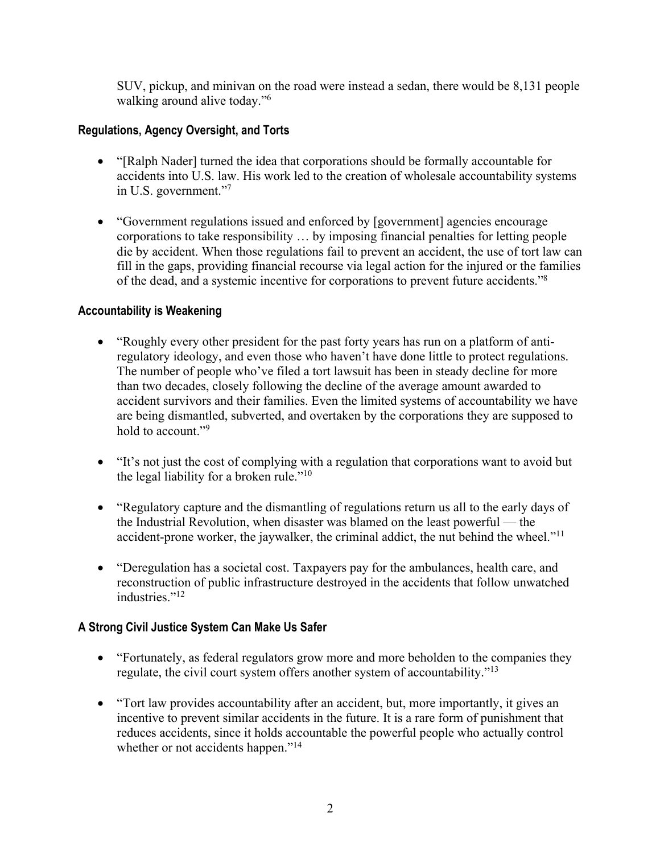SUV, pickup, and minivan on the road were instead a sedan, there would be 8,131 people walking around alive today."<sup>6</sup>

## **Regulations, Agency Oversight, and Torts**

- "[Ralph Nader] turned the idea that corporations should be formally accountable for accidents into U.S. law. His work led to the creation of wholesale accountability systems in U.S. government."7
- "Government regulations issued and enforced by [government] agencies encourage corporations to take responsibility … by imposing financial penalties for letting people die by accident. When those regulations fail to prevent an accident, the use of tort law can fill in the gaps, providing financial recourse via legal action for the injured or the families of the dead, and a systemic incentive for corporations to prevent future accidents."8

# **Accountability is Weakening**

- "Roughly every other president for the past forty years has run on a platform of antiregulatory ideology, and even those who haven't have done little to protect regulations. The number of people who've filed a tort lawsuit has been in steady decline for more than two decades, closely following the decline of the average amount awarded to accident survivors and their families. Even the limited systems of accountability we have are being dismantled, subverted, and overtaken by the corporations they are supposed to hold to account." $9$
- "It's not just the cost of complying with a regulation that corporations want to avoid but the legal liability for a broken rule."10
- "Regulatory capture and the dismantling of regulations return us all to the early days of the Industrial Revolution, when disaster was blamed on the least powerful — the accident-prone worker, the jaywalker, the criminal addict, the nut behind the wheel."<sup>11</sup>
- "Deregulation has a societal cost. Taxpayers pay for the ambulances, health care, and reconstruction of public infrastructure destroyed in the accidents that follow unwatched industries."<sup>12</sup>

## **A Strong Civil Justice System Can Make Us Safer**

- "Fortunately, as federal regulators grow more and more beholden to the companies they regulate, the civil court system offers another system of accountability."13
- "Tort law provides accountability after an accident, but, more importantly, it gives an incentive to prevent similar accidents in the future. It is a rare form of punishment that reduces accidents, since it holds accountable the powerful people who actually control whether or not accidents happen."<sup>14</sup>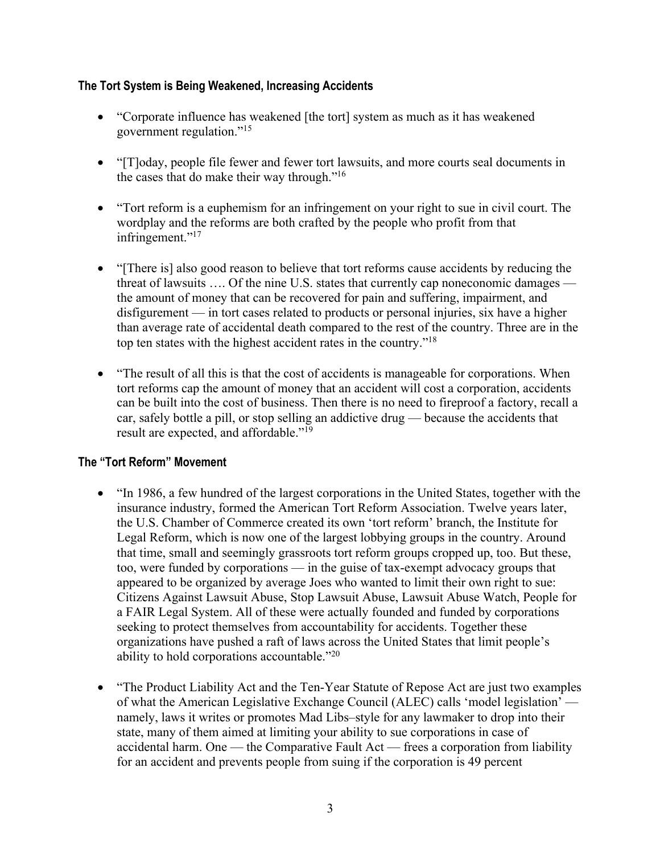## **The Tort System is Being Weakened, Increasing Accidents**

- "Corporate influence has weakened [the tort] system as much as it has weakened government regulation."15
- "[T]oday, people file fewer and fewer tort lawsuits, and more courts seal documents in the cases that do make their way through."16
- "Tort reform is a euphemism for an infringement on your right to sue in civil court. The wordplay and the reforms are both crafted by the people who profit from that infringement."<sup>17</sup>
- "[There is] also good reason to believe that tort reforms cause accidents by reducing the threat of lawsuits …. Of the nine U.S. states that currently cap noneconomic damages the amount of money that can be recovered for pain and suffering, impairment, and disfigurement — in tort cases related to products or personal injuries, six have a higher than average rate of accidental death compared to the rest of the country. Three are in the top ten states with the highest accident rates in the country."18
- "The result of all this is that the cost of accidents is manageable for corporations. When tort reforms cap the amount of money that an accident will cost a corporation, accidents can be built into the cost of business. Then there is no need to fireproof a factory, recall a car, safely bottle a pill, or stop selling an addictive drug — because the accidents that result are expected, and affordable."19

## **The "Tort Reform" Movement**

- "In 1986, a few hundred of the largest corporations in the United States, together with the insurance industry, formed the American Tort Reform Association. Twelve years later, the U.S. Chamber of Commerce created its own 'tort reform' branch, the Institute for Legal Reform, which is now one of the largest lobbying groups in the country. Around that time, small and seemingly grassroots tort reform groups cropped up, too. But these, too, were funded by corporations — in the guise of tax-exempt advocacy groups that appeared to be organized by average Joes who wanted to limit their own right to sue: Citizens Against Lawsuit Abuse, Stop Lawsuit Abuse, Lawsuit Abuse Watch, People for a FAIR Legal System. All of these were actually founded and funded by corporations seeking to protect themselves from accountability for accidents. Together these organizations have pushed a raft of laws across the United States that limit people's ability to hold corporations accountable."20
- "The Product Liability Act and the Ten-Year Statute of Repose Act are just two examples of what the American Legislative Exchange Council (ALEC) calls 'model legislation' namely, laws it writes or promotes Mad Libs–style for any lawmaker to drop into their state, many of them aimed at limiting your ability to sue corporations in case of accidental harm. One — the Comparative Fault Act — frees a corporation from liability for an accident and prevents people from suing if the corporation is 49 percent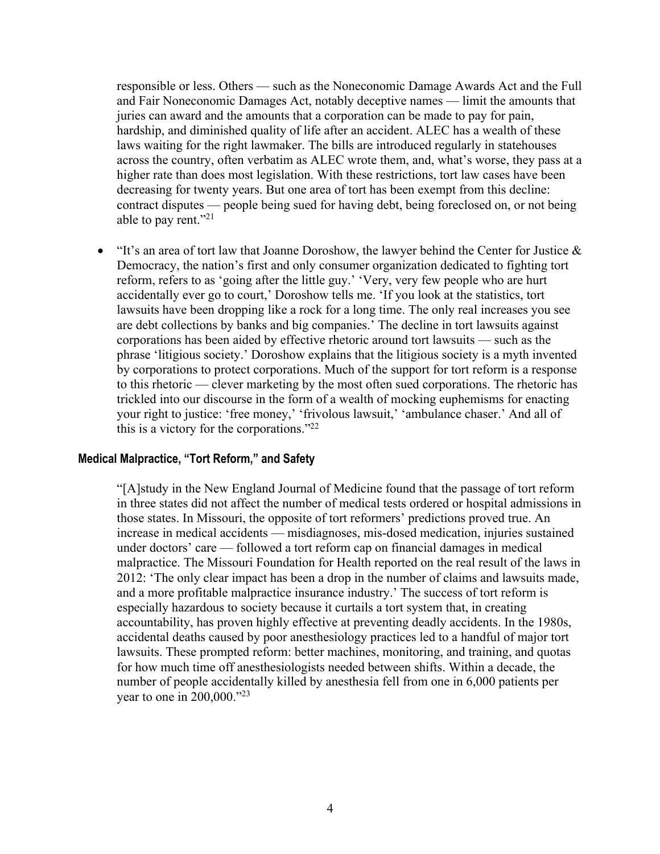responsible or less. Others — such as the Noneconomic Damage Awards Act and the Full and Fair Noneconomic Damages Act, notably deceptive names — limit the amounts that juries can award and the amounts that a corporation can be made to pay for pain, hardship, and diminished quality of life after an accident. ALEC has a wealth of these laws waiting for the right lawmaker. The bills are introduced regularly in statehouses across the country, often verbatim as ALEC wrote them, and, what's worse, they pass at a higher rate than does most legislation. With these restrictions, tort law cases have been decreasing for twenty years. But one area of tort has been exempt from this decline: contract disputes — people being sued for having debt, being foreclosed on, or not being able to pay rent."<sup>21</sup>

• "It's an area of tort law that Joanne Doroshow, the lawyer behind the Center for Justice  $\&$ Democracy, the nation's first and only consumer organization dedicated to fighting tort reform, refers to as 'going after the little guy.' 'Very, very few people who are hurt accidentally ever go to court,' Doroshow tells me. 'If you look at the statistics, tort lawsuits have been dropping like a rock for a long time. The only real increases you see are debt collections by banks and big companies.' The decline in tort lawsuits against corporations has been aided by effective rhetoric around tort lawsuits — such as the phrase 'litigious society.' Doroshow explains that the litigious society is a myth invented by corporations to protect corporations. Much of the support for tort reform is a response to this rhetoric — clever marketing by the most often sued corporations. The rhetoric has trickled into our discourse in the form of a wealth of mocking euphemisms for enacting your right to justice: 'free money,' 'frivolous lawsuit,' 'ambulance chaser.' And all of this is a victory for the corporations." $2^2$ 

#### **Medical Malpractice, "Tort Reform," and Safety**

"[A]study in the New England Journal of Medicine found that the passage of tort reform in three states did not affect the number of medical tests ordered or hospital admissions in those states. In Missouri, the opposite of tort reformers' predictions proved true. An increase in medical accidents — misdiagnoses, mis-dosed medication, injuries sustained under doctors' care — followed a tort reform cap on financial damages in medical malpractice. The Missouri Foundation for Health reported on the real result of the laws in 2012: 'The only clear impact has been a drop in the number of claims and lawsuits made, and a more profitable malpractice insurance industry.' The success of tort reform is especially hazardous to society because it curtails a tort system that, in creating accountability, has proven highly effective at preventing deadly accidents. In the 1980s, accidental deaths caused by poor anesthesiology practices led to a handful of major tort lawsuits. These prompted reform: better machines, monitoring, and training, and quotas for how much time off anesthesiologists needed between shifts. Within a decade, the number of people accidentally killed by anesthesia fell from one in 6,000 patients per year to one in 200,000."23